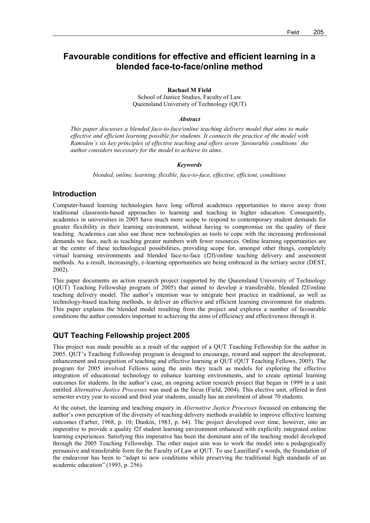# **Favourable conditions for effective and efficient learning in a blended face-to-face/online method**

**Rachael M Field** 

School of Justice Studies, Faculty of Law Queensland University of Technology (QUT)

#### *Abstract*

*This paper discusses a blended face-to-face/online teaching delivery model that aims to make effective and efficient learning possible for students. It connects the practice of the model with Ramsden's six key principles of effective teaching and offers seven 'favourable conditions' the author considers necessary for the model to achieve its aims.* 

#### *Keywords*

*blended, online, learning, flexible, face-to-face, effective, efficient, conditions* 

## **Introduction**

Computer-based learning technologies have long offered academics opportunities to move away from traditional classroom-based approaches to learning and teaching in higher education. Consequently, academics in universities in 2005 have much more scope to respond to contemporary student demands for greater flexibility in their learning environment, without having to compromise on the quality of their teaching. Academics can also use these new technologies as tools to cope with the increasing professional demands we face, such as teaching greater numbers with fewer resources. Online learning opportunities are at the centre of these technological possibilities, providing scope for, amongst other things, completely virtual learning environments and blended face-to-face (f2f)/online teaching delivery and assessment methods. As a result, increasingly, e-learning opportunities are being embraced in the tertiary sector (DEST, 2002).

This paper documents an action research project (supported by the Queensland University of Technology (QUT) Teaching Fellowship program of 2005) that aimed to develop a transferable, blended f2f/online teaching delivery model. The author's intention was to integrate best practice in traditional, as well as technology-based teaching methods, to deliver an effective and efficient learning environment for students. This paper explains the blended model resulting from the project and explores a number of favourable conditions the author considers important to achieving the aims of efficiency and effectiveness through it.

## **QUT Teaching Fellowship project 2005**

This project was made possible as a result of the support of a QUT Teaching Fellowship for the author in 2005. QUT's Teaching Fellowship program is designed to encourage, reward and support the development, enhancement and recognition of teaching and effective learning at QUT (QUT Teaching Fellows, 2005). The program for 2005 involved Fellows using the units they teach as models for exploring the effective integration of educational technology to enhance learning environments, and to create optimal learning outcomes for students. In the author's case, an ongoing action research project that began in 1999 in a unit entitled *Alternative Justice Processes* was used as the focus (Field, 2004). This elective unit, offered in first semester every year to second and third year students, usually has an enrolment of about 70 students.

At the outset, the learning and teaching enquiry in *Alternative Justice Processes* focussed on enhancing the author's own perception of the diversity of teaching delivery methods available to improve effective learning outcomes (Farber, 1968, p. 10; Dunkin, 1983, p. 64). The project developed over time, however, into an imperative to provide a quality f2f student learning environment enhanced with explicitly integrated online learning experiences. Satisfying this imperative has been the dominant aim of the teaching model developed through the 2005 Teaching Fellowship. The other major aim was to work the model into a pedagogically persuasive and transferable form for the Faculty of Law at QUT. To use Laurillard's words, the foundation of the endeavour has been to "adapt to new conditions while preserving the traditional high standards of an academic education" (1993, p. 256).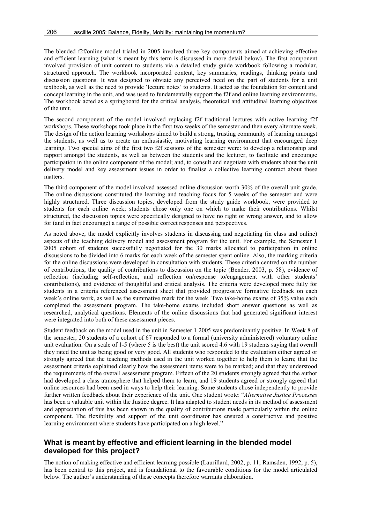The blended f2f/online model trialed in 2005 involved three key components aimed at achieving effective and efficient learning (what is meant by this term is discussed in more detail below). The first component involved provision of unit content to students via a detailed study guide workbook following a modular, structured approach. The workbook incorporated content, key summaries, readings, thinking points and discussion questions. It was designed to obviate any perceived need on the part of students for a unit textbook, as well as the need to provide ëlecture notesí to students. It acted as the foundation for content and concept learning in the unit, and was used to fundamentally support the f2f and online learning environments. The workbook acted as a springboard for the critical analysis, theoretical and attitudinal learning objectives of the unit.

The second component of the model involved replacing f2f traditional lectures with active learning f2f workshops. These workshops took place in the first two weeks of the semester and then every alternate week. The design of the action learning workshops aimed to build a strong, trusting community of learning amongst the students, as well as to create an enthusiastic, motivating learning environment that encouraged deep learning. Two special aims of the first two f2f sessions of the semester were: to develop a relationship and rapport amongst the students, as well as between the students and the lecturer, to facilitate and encourage participation in the online component of the model; and, to consult and negotiate with students about the unit delivery model and key assessment issues in order to finalise a collective learning contract about these matters.

The third component of the model involved assessed online discussion worth 30% of the overall unit grade. The online discussions constituted the learning and teaching focus for 5 weeks of the semester and were highly structured. Three discussion topics, developed from the study guide workbook, were provided to students for each online week; students chose only one on which to make their contributions. Whilst structured, the discussion topics were specifically designed to have no right or wrong answer, and to allow for (and in fact encourage) a range of possible correct responses and perspectives.

As noted above, the model explicitly involves students in discussing and negotiating (in class and online) aspects of the teaching delivery model and assessment program for the unit. For example, the Semester 1 2005 cohort of students successfully negotiated for the 30 marks allocated to participation in online discussions to be divided into 6 marks for each week of the semester spent online. Also, the marking criteria for the online discussions were developed in consultation with students. These criteria centred on the number of contributions, the quality of contributions to discussion on the topic (Bender, 2003, p. 58), evidence of reflection (including self-reflection, and reflection on/response to/engagement with other students' contributions), and evidence of thoughtful and critical analysis. The criteria were developed more fully for students in a criteria referenced assessment sheet that provided progressive formative feedback on each week's online work, as well as the summative mark for the week. Two take-home exams of 35% value each completed the assessment program. The take-home exams included short answer questions as well as researched, analytical questions. Elements of the online discussions that had generated significant interest were integrated into both of these assessment pieces.

Student feedback on the model used in the unit in Semester 1 2005 was predominantly positive. In Week 8 of the semester, 20 students of a cohort of 67 responded to a formal (university administered) voluntary online unit evaluation. On a scale of 1-5 (where 5 is the best) the unit scored 4.6 with 19 students saying that overall they rated the unit as being good or very good. All students who responded to the evaluation either agreed or strongly agreed that the teaching methods used in the unit worked together to help them to learn; that the assessment criteria explained clearly how the assessment items were to be marked; and that they understood the requirements of the overall assessment program. Fifteen of the 20 students strongly agreed that the author had developed a class atmosphere that helped them to learn, and 19 students agreed or strongly agreed that online resources had been used in ways to help their learning. Some students chose independently to provide further written feedback about their experience of the unit. One student wrote: "Alternative Justice Processes has been a valuable unit within the Justice degree. It has adapted to student needs in its method of assessment and appreciation of this has been shown in the quality of contributions made particularly within the online component. The flexibility and support of the unit coordinator has ensured a constructive and positive learning environment where students have participated on a high level."

## **What is meant by effective and efficient learning in the blended model developed for this project?**

The notion of making effective and efficient learning possible (Laurillard, 2002, p. 11; Ramsden, 1992, p. 5), has been central to this project, and is foundational to the favourable conditions for the model articulated below. The author's understanding of these concepts therefore warrants elaboration.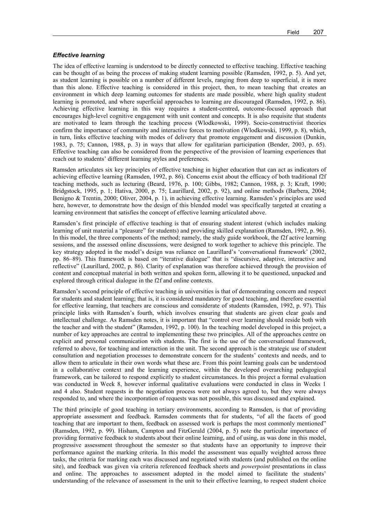#### *Effective learning*

The idea of effective learning is understood to be directly connected to effective teaching. Effective teaching can be thought of as being the process of making student learning possible (Ramsden, 1992, p. 5). And yet, as student learning is possible on a number of different levels, ranging from deep to superficial, it is more than this alone. Effective teaching is considered in this project, then, to mean teaching that creates an environment in which deep learning outcomes for students are made possible, where high quality student learning is promoted, and where superficial approaches to learning are discouraged (Ramsden, 1992, p. 86). Achieving effective learning in this way requires a student-centred, outcome-focused approach that encourages high-level cognitive engagement with unit content and concepts. It is also requisite that students are motivated to learn through the teaching process (Wlodkowski, 1999). Socio-constructivist theories confirm the importance of community and interactive forces to motivation (Wlodkowski, 1999, p. 8), which, in turn, links effective teaching with modes of delivery that promote engagement and discussion (Dunkin, 1983, p. 75; Cannon, 1988, p. 3) in ways that allow for egalitarian participation (Bender, 2003, p. 65). Effective teaching can also be considered from the perspective of the provision of learning experiences that reach out to students' different learning styles and preferences.

Ramsden articulates six key principles of effective teaching in higher education that can act as indicators of achieving effective learning (Ramsden, 1992, p. 86). Concerns exist about the efficacy of both traditional f2f teaching methods, such as lecturing (Beard, 1976, p. 100; Gibbs, 1982; Cannon, 1988, p. 3; Kraft, 1990; Bridgstock, 1995, p. 1; Hativa, 2000, p. 75; Laurillard, 2002, p. 92), and online methods (Barbera, 2004; Benigno & Trentin, 2000; Oliver, 2004, p. 1), in achieving effective learning. Ramsden's principles are used here, however, to demonstrate how the design of this blended model was specifically targeted at creating a learning environment that satisfies the concept of effective learning articulated above.

Ramsden's first principle of effective teaching is that of ensuring student interest (which includes making learning of unit material a "pleasure" for students) and providing skilled explanation (Ramsden, 1992, p. 96). In this model, the three components of the method; namely, the study guide workbook, the f2f active learning sessions, and the assessed online discussions, were designed to work together to achieve this principle. The key strategy adopted in the model's design was reliance on Laurillard's 'conversational framework' (2002, pp. 86–89). This framework is based on "iterative dialogue" that is "discursive, adaptive, interactive and reflectiveî (Laurillard, 2002, p. 86). Clarity of explanation was therefore achieved through the provision of content and conceptual material in both written and spoken form, allowing it to be questioned, unpacked and explored through critical dialogue in the f2f and online contexts.

Ramsden's second principle of effective teaching in universities is that of demonstrating concern and respect for students and student learning; that is, it is considered mandatory for good teaching, and therefore essential for effective learning, that teachers are conscious and considerate of students (Ramsden, 1992, p. 97). This principle links with Ramsdenís fourth, which involves ensuring that students are given clear goals and intellectual challenge. As Ramsden notes, it is important that "control over learning should reside both with the teacher and with the student" (Ramsden, 1992, p. 100). In the teaching model developed in this project, a number of key approaches are central to implementing these two principles. All of the approaches centre on explicit and personal communication with students. The first is the use of the conversational framework, referred to above, for teaching and interaction in the unit. The second approach is the strategic use of student consultation and negotiation processes to demonstrate concern for the students' contexts and needs, and to allow them to articulate in their own words what these are. From this point learning goals can be understood in a collaborative context and the learning experience, within the developed overarching pedagogical framework, can be tailored to respond explicitly to student circumstances. In this project a formal evaluation was conducted in Week 8, however informal qualitative evaluations were conducted in class in Weeks 1 and 4 also. Student requests in the negotiation process were not always agreed to, but they were always responded to, and where the incorporation of requests was not possible, this was discussed and explained.

The third principle of good teaching in tertiary environments, according to Ramsden, is that of providing appropriate assessment and feedback. Ramsden comments that for students, "of all the facets of good teaching that are important to them, feedback on assessed work is perhaps the most commonly mentioned" (Ramsden, 1992, p. 99). Hisham, Campton and FitzGerald (2004, p. 5) note the particular importance of providing formative feedback to students about their online learning, and of using, as was done in this model, progressive assessment throughout the semester so that students have an opportunity to improve their performance against the marking criteria. In this model the assessment was equally weighted across three tasks, the criteria for marking each was discussed and negotiated with students (and published on the online site), and feedback was given via criteria referenced feedback sheets and *powerpoint* presentations in class and online. The approaches to assessment adopted in the model aimed to facilitate the students' understanding of the relevance of assessment in the unit to their effective learning, to respect student choice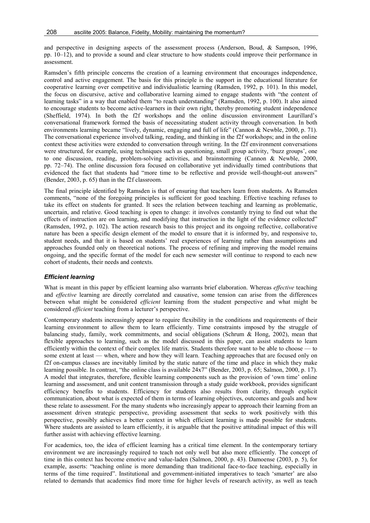and perspective in designing aspects of the assessment process (Anderson, Boud, & Sampson, 1996, pp.  $10-12$ ), and to provide a sound and clear structure to how students could improve their performance in assessment.

Ramsden's fifth principle concerns the creation of a learning environment that encourages independence, control and active engagement. The basis for this principle is the support in the educational literature for cooperative learning over competitive and individualistic learning (Ramsden, 1992, p. 101). In this model, the focus on discursive, active and collaborative learning aimed to engage students with "the content of learning tasks" in a way that enabled them "to reach understanding" (Ramsden, 1992, p. 100). It also aimed to encourage students to become active-learners in their own right, thereby promoting student independence (Sheffield, 1974). In both the f2f workshops and the online discussion environment Laurillard's conversational framework formed the basis of necessitating student activity through conversation. In both environments learning became "lively, dynamic, engaging and full of life" (Cannon & Newble, 2000, p. 71). The conversational experience involved talking, reading, and thinking in the f2f workshops; and in the online context these activities were extended to conversation through writing. In the f2f environment conversations were structured, for example, using techniques such as questioning, small group activity, 'buzz groups', one to one discussion, reading, problem-solving activities, and brainstorming (Cannon & Newble, 2000, pp. 72–74). The online discussion fora focused on collaborative yet individually timed contributions that evidenced the fact that students had "more time to be reflective and provide well-thought-out answers" (Bender, 2003, p. 65) than in the f2f classroom.

The final principle identified by Ramsden is that of ensuring that teachers learn from students. As Ramsden comments, "none of the foregoing principles is sufficient for good teaching. Effective teaching refuses to take its effect on students for granted. It sees the relation between teaching and learning as problematic, uncertain, and relative. Good teaching is open to change: it involves constantly trying to find out what the effects of instruction are on learning, and modifying that instruction in the light of the evidence collected" (Ramsden, 1992, p. 102). The action research basis to this project and its ongoing reflective, collaborative nature has been a specific design element of the model to ensure that it is informed by, and responsive to, student needs, and that it is based on students' real experiences of learning rather than assumptions and approaches founded only on theoretical notions. The process of refining and improving the model remains ongoing, and the specific format of the model for each new semester will continue to respond to each new cohort of students, their needs and contexts.

## *Efficient learning*

What is meant in this paper by efficient learning also warrants brief elaboration. Whereas *effective* teaching and *effective* learning are directly correlated and causative, some tension can arise from the differences between what might be considered *efficient* learning from the student perspective and what might be considered *efficient* teaching from a lecturer's perspective.

Contemporary students increasingly appear to require flexibility in the conditions and requirements of their learning environment to allow them to learn efficiently. Time constraints imposed by the struggle of balancing study, family, work commitments, and social obligations (Schrum  $\&$  Hong, 2002), mean that flexible approaches to learning, such as the model discussed in this paper, can assist students to learn efficiently within the context of their complex life matrix. Students therefore want to be able to choose — to some extent at least — when, where and how they will learn. Teaching approaches that are focused only on f2f on-campus classes are inevitably limited by the static nature of the time and place in which they make learning possible. In contrast, "the online class is available 24x7" (Bender, 2003, p. 65; Salmon, 2000, p. 17). A model that integrates, therefore, flexible learning components such as the provision of 'own time' online learning and assessment, and unit content transmission through a study guide workbook, provides significant efficiency benefits to students. Efficiency for students also results from clarity, through explicit communication, about what is expected of them in terms of learning objectives, outcomes and goals and how these relate to assessment. For the many students who increasingly appear to approach their learning from an assessment driven strategic perspective, providing assessment that seeks to work positively with this perspective, possibly achieves a better context in which efficient learning is made possible for students. Where students are assisted to learn efficiently, it is arguable that the positive attitudinal impact of this will further assist with achieving effective learning.

For academics, too, the idea of efficient learning has a critical time element. In the contemporary tertiary environment we are increasingly required to teach not only well but also more efficiently. The concept of time in this context has become emotive and value-laden (Salmon, 2000, p. 43). Damoense (2003, p. 5), for example, asserts: "teaching online is more demanding than traditional face-to-face teaching, especially in terms of the time required". Institutional and government-initiated imperatives to teach 'smarter' are also related to demands that academics find more time for higher levels of research activity, as well as teach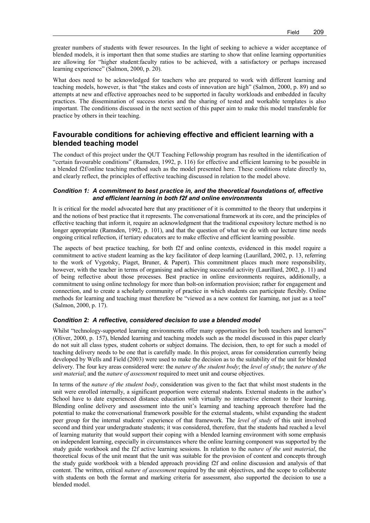greater numbers of students with fewer resources. In the light of seeking to achieve a wider acceptance of blended models, it is important then that some studies are starting to show that online learning opportunities are allowing for "higher student:faculty ratios to be achieved, with a satisfactory or perhaps increased learning experience" (Salmon, 2000, p. 20).

What does need to be acknowledged for teachers who are prepared to work with different learning and teaching models, however, is that "the stakes and costs of innovation are high" (Salmon, 2000, p. 89) and so attempts at new and effective approaches need to be supported in faculty workloads and embedded in faculty practices. The dissemination of success stories and the sharing of tested and workable templates is also important. The conditions discussed in the next section of this paper aim to make this model transferable for practice by others in their teaching.

## **Favourable conditions for achieving effective and efficient learning with a blended teaching model**

The conduct of this project under the QUT Teaching Fellowship program has resulted in the identification of ìcertain favourable conditionsî (Ramsden, 1992, p. 116) for effective and efficient learning to be possible in a blended f2f/online teaching method such as the model presented here. These conditions relate directly to, and clearly reflect, the principles of effective teaching discussed in relation to the model above.

## *Condition 1: A commitment to best practice in, and the theoretical foundations of, effective and efficient learning in both f2f and online environments*

It is critical for the model advocated here that any practitioner of it is committed to the theory that underpins it and the notions of best practice that it represents. The conversational framework at its core, and the principles of effective teaching that inform it, require an acknowledgment that the traditional expository lecture method is no longer appropriate (Ramsden, 1992, p. 101), and that the question of what we do with our lecture time needs ongoing critical reflection, if tertiary educators are to make effective and efficient learning possible.

The aspects of best practice teaching, for both f2f and online contexts, evidenced in this model require a commitment to active student learning as the key facilitator of deep learning (Laurillard, 2002, p. 13, referring to the work of Vygotsky, Piaget, Bruner, & Papert). This commitment places much more responsibility, however, with the teacher in terms of organising and achieving successful activity (Laurillard, 2002, p. 11) and of being reflective about those processes. Best practice in online environments requires, additionally, a commitment to using online technology for more than bolt-on information provision; rather for engagement and connection, and to create a scholarly community of practice in which students can participate flexibly. Online methods for learning and teaching must therefore be "viewed as a new context for learning, not just as a tool" (Salmon, 2000, p. 17).

## *Condition 2: A reflective, considered decision to use a blended model*

Whilst "technology-supported learning environments offer many opportunities for both teachers and learners" (Oliver, 2000, p. 157), blended learning and teaching models such as the model discussed in this paper clearly do not suit all class types, student cohorts or subject domains. The decision, then, to opt for such a model of teaching delivery needs to be one that is carefully made. In this project, areas for consideration currently being developed by Wells and Field (2003) were used to make the decision as to the suitability of the unit for blended delivery. The four key areas considered were: the *nature of the student body*; the *level of study*; the *nature of the unit material*; and the *nature of assessment* required to meet unit and course objectives.

In terms of the *nature of the student body*, consideration was given to the fact that whilst most students in the unit were enrolled internally, a significant proportion were external students. External students in the author's School have to date experienced distance education with virtually no interactive element to their learning. Blending online delivery and assessment into the unit's learning and teaching approach therefore had the potential to make the conversational framework possible for the external students, whilst expanding the student peer group for the internal studentsí experience of that framework. The *level of study* of this unit involved second and third year undergraduate students; it was considered, therefore, that the students had reached a level of learning maturity that would support their coping with a blended learning environment with some emphasis on independent learning, especially in circumstances where the online learning component was supported by the study guide workbook and the f2f active learning sessions. In relation to the *nature of the unit material*, the theoretical focus of the unit meant that the unit was suitable for the provision of content and concepts through the study guide workbook with a blended approach providing f2f and online discussion and analysis of that content. The written, critical *nature of assessment* required by the unit objectives, and the scope to collaborate with students on both the format and marking criteria for assessment, also supported the decision to use a blended model.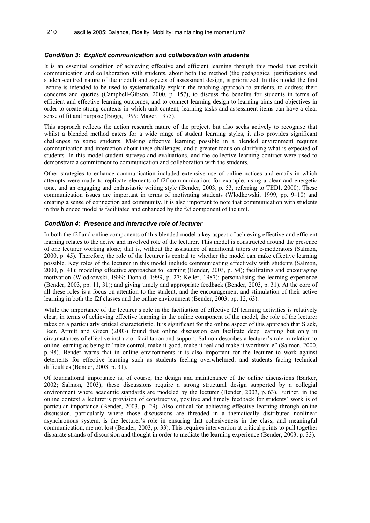#### *Condition 3: Explicit communication and collaboration with students*

It is an essential condition of achieving effective and efficient learning through this model that explicit communication and collaboration with students, about both the method (the pedagogical justifications and student-centred nature of the model) and aspects of assessment design, is prioritized. In this model the first lecture is intended to be used to systematically explain the teaching approach to students, to address their concerns and queries (Campbell-Gibson, 2000, p. 157), to discuss the benefits for students in terms of efficient and effective learning outcomes, and to connect learning design to learning aims and objectives in order to create strong contexts in which unit content, learning tasks and assessment items can have a clear sense of fit and purpose (Biggs, 1999; Mager, 1975).

This approach reflects the action research nature of the project, but also seeks actively to recognise that whilst a blended method caters for a wide range of student learning styles, it also provides significant challenges to some students. Making effective learning possible in a blended environment requires communication and interaction about these challenges, and a greater focus on clarifying what is expected of students. In this model student surveys and evaluations, and the collective learning contract were used to demonstrate a commitment to communication and collaboration with the students.

Other strategies to enhance communication included extensive use of online notices and emails in which attempts were made to replicate elements of f2f communication; for example, using a clear and energetic tone, and an engaging and enthusiastic writing style (Bender, 2003, p. 53, referring to TEDI, 2000). These communication issues are important in terms of motivating students (Wlodkowski, 1999, pp.  $9-10$ ) and creating a sense of connection and community. It is also important to note that communication with students in this blended model is facilitated and enhanced by the f2f component of the unit.

#### *Condition 4: Presence and interactive role of lecturer*

In both the f2f and online components of this blended model a key aspect of achieving effective and efficient learning relates to the active and involved role of the lecturer. This model is constructed around the presence of one lecturer working alone; that is, without the assistance of additional tutors or e-moderators (Salmon, 2000, p. 45). Therefore, the role of the lecturer is central to whether the model can make effective learning possible. Key roles of the lecturer in this model include communicating effectively with students (Salmon, 2000, p. 41); modeling effective approaches to learning (Bender, 2003, p. 54); facilitating and encouraging motivation (Wlodkowski, 1999; Donald, 1999, p. 27; Keller, 1987); personalising the learning experience (Bender, 2003, pp. 11, 31); and giving timely and appropriate feedback (Bender, 2003, p. 31). At the core of all these roles is a focus on attention to the student, and the encouragement and stimulation of their active learning in both the f2f classes and the online environment (Bender, 2003, pp. 12, 63).

While the importance of the lecturer's role in the facilitation of effective f2f learning activities is relatively clear, in terms of achieving effective learning in the online component of the model, the role of the lecturer takes on a particularly critical characteristic. It is significant for the online aspect of this approach that Slack, Beer, Armitt and Green (2003) found that online discussion can facilitate deep learning but only in circumstances of effective instructor facilitation and support. Salmon describes a lecturer's role in relation to online learning as being to "take control, make it good, make it real and make it worthwhile" (Salmon, 2000, p. 98). Bender warns that in online environments it is also important for the lecturer to work against deterrents for effective learning such as students feeling overwhelmed, and students facing technical difficulties (Bender, 2003, p. 31).

Of foundational importance is, of course, the design and maintenance of the online discussions (Barker, 2002; Salmon, 2003); these discussions require a strong structural design supported by a collegial environment where academic standards are modeled by the lecturer (Bender, 2003, p. 63). Further, in the online context a lecturer's provision of constructive, positive and timely feedback for students' work is of particular importance (Bender, 2003, p. 29). Also critical for achieving effective learning through online discussion, particularly where those discussions are threaded in a thematically distributed nonlinear asynchronous system, is the lecturer's role in ensuring that cohesiveness in the class, and meaningful communication, are not lost (Bender, 2003, p. 33). This requires intervention at critical points to pull together disparate strands of discussion and thought in order to mediate the learning experience (Bender, 2003, p. 33).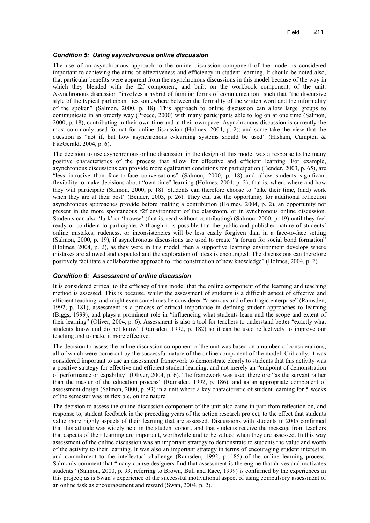#### *Condition 5: Using asynchronous online discussion*

The use of an asynchronous approach to the online discussion component of the model is considered important to achieving the aims of effectiveness and efficiency in student learning. It should be noted also, that particular benefits were apparent from the asynchronous discussions in this model because of the way in which they blended with the f2f component, and built on the workbook component, of the unit. Asynchronous discussion "involves a hybrid of familiar forms of communication" such that "the discursive style of the typical participant lies somewhere between the formality of the written word and the informality of the spokenî (Salmon, 2000, p. 18). This approach to online discussion can allow large groups to communicate in an orderly way (Preece, 2000) with many participants able to log on at one time (Salmon, 2000, p. 18), contributing in their own time and at their own pace. Asynchronous discussion is currently the most commonly used format for online discussion (Holmes, 2004, p. 2); and some take the view that the question is "not if, but how asynchronous e-learning systems should be used" (Hisham, Campton  $\&$ FitzGerald, 2004, p. 6).

The decision to use asynchronous online discussion in the design of this model was a response to the many positive characteristics of the process that allow for effective and efficient learning. For example, asynchronous discussions can provide more egalitarian conditions for participation (Bender, 2003, p. 65), are "less intrusive than face-to-face conversations" (Salmon, 2000, p. 18) and allow students significant flexibility to make decisions about "own time" learning (Holmes, 2004, p. 2); that is, when, where and how they will participate (Salmon, 2000, p. 18). Students can therefore choose to "take their time, (and) work when they are at their best" (Bender, 2003, p. 26). They can use the opportunity for additional reflection asynchronous approaches provide before making a contribution (Holmes, 2004, p. 2), an opportunity not present in the more spontaneous f2f environment of the classroom, or in synchronous online discussion. Students can also 'lurk' or 'browse' (that is, read without contributing) (Salmon, 2000, p. 19) until they feel ready or confident to participate. Although it is possible that the public and published nature of students' online mistakes, rudeness, or inconsistencies will be less easily forgiven than in a face-to-face setting (Salmon, 2000, p. 19), if asynchronous discussions are used to create "a forum for social bond formation" (Holmes, 2004, p. 2), as they were in this model, then a supportive learning environment develops where mistakes are allowed and expected and the exploration of ideas is encouraged. The discussions can therefore positively facilitate a collaborative approach to "the construction of new knowledge" (Holmes, 2004, p. 2).

#### *Condition 6: Assessment of online discussion*

It is considered critical to the efficacy of this model that the online component of the learning and teaching method is assessed. This is because, whilst the assessment of students is a difficult aspect of effective and efficient teaching, and might even sometimes be considered "a serious and often tragic enterprise" (Ramsden, 1992, p. 181), assessment is a process of critical importance in defining student approaches to learning (Biggs, 1999), and plays a prominent role in "influencing what students learn and the scope and extent of their learning" (Oliver, 2004, p. 6). Assessment is also a tool for teachers to understand better "exactly what students know and do not knowî (Ramsden, 1992, p. 182) so it can be used reflectively to improve our teaching and to make it more effective.

The decision to assess the online discussion component of the unit was based on a number of considerations, all of which were borne out by the successful nature of the online component of the model. Critically, it was considered important to use an assessment framework to demonstrate clearly to students that this activity was a positive strategy for effective and efficient student learning, and not merely an "endpoint of demonstration of performance or capability" (Oliver, 2004, p. 6). The framework was used therefore "as the servant rather than the master of the education processî (Ramsden, 1992, p. 186), and as an appropriate component of assessment design (Salmon, 2000, p. 93) in a unit where a key characteristic of student learning for 5 weeks of the semester was its flexible, online nature.

The decision to assess the online discussion component of the unit also came in part from reflection on, and response to, student feedback in the preceding years of the action research project, to the effect that students value more highly aspects of their learning that are assessed. Discussions with students in 2005 confirmed that this attitude was widely held in the student cohort, and that students receive the message from teachers that aspects of their learning are important, worthwhile and to be valued when they are assessed. In this way assessment of the online discussion was an important strategy to demonstrate to students the value and worth of the activity to their learning. It was also an important strategy in terms of encouraging student interest in and commitment to the intellectual challenge (Ramsden, 1992, p. 185) of the online learning process. Salmon's comment that "many course designers find that assessment is the engine that drives and motivates studentsî (Salmon, 2000, p. 93, referring to Brown, Bull and Race, 1999) is confirmed by the experiences in this project; as is Swan's experience of the successful motivational aspect of using compulsory assessment of an online task as encouragement and reward (Swan, 2004, p. 2).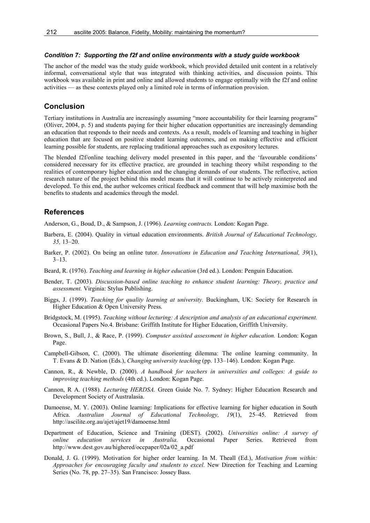#### *Condition 7: Supporting the f2f and online environments with a study guide workbook*

The anchor of the model was the study guide workbook, which provided detailed unit content in a relatively informal, conversational style that was integrated with thinking activities, and discussion points. This workbook was available in print and online and allowed students to engage optimally with the f2f and online activities – as these contexts played only a limited role in terms of information provision.

## **Conclusion**

Tertiary institutions in Australia are increasingly assuming "more accountability for their learning programs" (Oliver, 2004, p. 5) and students paying for their higher education opportunities are increasingly demanding an education that responds to their needs and contexts. As a result, models of learning and teaching in higher education that are focused on positive student learning outcomes, and on making effective and efficient learning possible for students, are replacing traditional approaches such as expository lectures.

The blended f2f/online teaching delivery model presented in this paper, and the 'favourable conditions' considered necessary for its effective practice, are grounded in teaching theory whilst responding to the realities of contemporary higher education and the changing demands of our students. The reflective, action research nature of the project behind this model means that it will continue to be actively reinterpreted and developed. To this end, the author welcomes critical feedback and comment that will help maximise both the benefits to students and academics through the model.

## **References**

Anderson, G., Boud, D., & Sampson, J. (1996). *Learning contracts.* London: Kogan Page.

- Barbera, E. (2004). Quality in virtual education environments. *British Journal of Educational Technology,*  35, 13–20.
- Barker, P. (2002). On being an online tutor. *Innovations in Education and Teaching International, 39*(1),  $3 - 13$
- Beard, R. (1976). *Teaching and learning in higher education* (3rd ed.). London: Penguin Education.
- Bender, T. (2003). *Discussion-based online teaching to enhance student learning: Theory, practice and assessment.* Virginia: Stylus Publishing.
- Biggs, J. (1999). *Teaching for quality learning at university.* Buckingham, UK: Society for Research in Higher Education & Open University Press.
- Bridgstock, M. (1995). *Teaching without lecturing: A description and analysis of an educational experiment.* Occasional Papers No.4. Brisbane: Griffith Institute for Higher Education, Griffith University.
- Brown, S., Bull, J., & Race, P. (1999). *Computer assisted assessment in higher education.* London: Kogan Page.
- Campbell-Gibson, C. (2000). The ultimate disorienting dilemma: The online learning community. In T. Evans & D. Nation (Eds.), *Changing university teaching* (pp. 133–146). London: Kogan Page.
- Cannon, R., & Newble, D. (2000). *A handbook for teachers in universities and colleges: A guide to improving teaching methods* (4th ed.). London: Kogan Page.
- Cannon, R A. (1988). *Lecturing HERDSA.* Green Guide No. 7. Sydney: Higher Education Research and Development Society of Australasia.
- Damoense, M. Y. (2003). Online learning: Implications for effective learning for higher education in South Africa. Australian Journal of Educational Technology, 19(1), 25-45. Retrieved from http://ascilite.org.au/ajet/ajet19/damoense.html
- Department of Education, Science and Training (DEST). (2002). *Universities online: A survey of online education services in Australia.* Occasional Paper Series. Retrieved from http://www.dest.gov.au/highered/occpaper/02a/02\_a.pdf
- Donald, J. G. (1999). Motivation for higher order learning. In M. Theall (Ed.), *Motivation from within: Approaches for encouraging faculty and students to excel.* New Direction for Teaching and Learning Series (No. 78, pp. 27–35). San Francisco: Jossey Bass.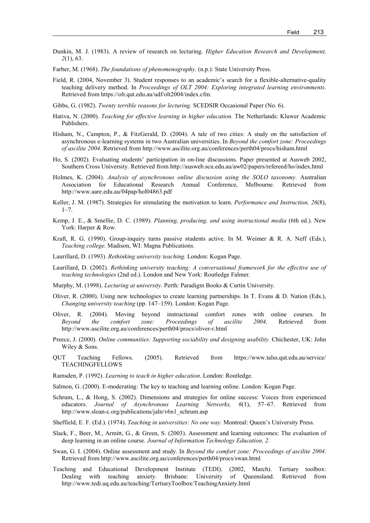- Dunkin, M. J. (1983). A review of research on lecturing. *Higher Education Research and Development, 2*(1), 63.
- Farber, M. (1968). *The foundations of phenomenography.* (n.p.): State University Press.
- Field, R. (2004, November 3). Student responses to an academic's search for a flexible-alternative-quality teaching delivery method. In *Proceedings of OLT 2004: Exploring integrated learning environments*. Retrieved from https://olt.qut.edu.au/udf/olt2004/index.cfm.
- Gibbs, G. (1982). *Twenty terrible reasons for lecturing.* SCEDSIR Occasional Paper (No. 6).
- Hativa, N. (2000). *Teaching for effective learning in higher education.* The Netherlands: Kluwer Academic Publishers.
- Hisham, N., Campton, P., & FitzGerald, D. (2004). A tale of two cities: A study on the satisfaction of asynchronous e-learning systems in two Australian universities. In *Beyond the comfort zone: Proceedings of ascilite 2004*. Retrieved from http://www.ascilite.org.au/conferences/perth04/procs/hisham.html
- Ho, S. (2002). Evaluating studentsí participation in on-line discussions. Paper presented at Ausweb 2002, Southern Cross University. Retrieved from http://ausweb.scu.edu.au/aw02/papers/refereed/ho/index.html
- Holmes, K. (2004). *Analysis of asynchronous online discussion using the SOLO taxonomy.* Australian Association for Educational Research Annual Conference, Melbourne. Retrieved from http://www.aare.edu.au/04pap/hol04863.pdf
- Keller, J. M. (1987). Strategies for stimulating the motivation to learn. *Performance and Instruction, 26*(8),  $1 - 7$ .
- Kemp, J. E., & Smellie, D. C. (1989). *Planning, producing, and using instructional media* (6th ed.). New York: Harper & Row.
- Kraft, R. G. (1990). Group-inquiry turns passive students active. In M. Weimer & R. A. Neff (Eds.), *Teaching college.* Madison, WI: Magna Publications.
- Laurillard, D. (1993). *Rethinking university teaching.* London: Kogan Page.
- Laurillard, D. (2002). *Rethinking university teaching: A conversational framework for the effective use of teaching technologies* (2nd ed.). London and New York: Routledge Falmer.
- Murphy, M. (1998). *Lecturing at university.* Perth: Paradigm Books & Curtin University.
- Oliver, R. (2000). Using new technologies to create learning partnerships. In T. Evans & D. Nation (Eds.), *Changing university teaching* (pp. 147–159). London: Kogan Page.
- Oliver, R. (2004). Moving beyond instructional comfort zones with online courses. In *Beyond the comfort zone: Proceedings of ascilite 2004*. Retrieved from http://www.ascilite.org.au/conferences/perth04/procs/oliver-r.html
- Preece, J. (2000). *Online communities: Supporting sociability and designing usability.* Chichester, UK: John Wiley & Sons.
- QUT Teaching Fellows. (2005). Retrieved from https://www.talss.qut.edu.au/service/ TEACHINGFELLOWS
- Ramsden, P. (1992). *Learning to teach in higher education*. London: Routledge.
- Salmon, G. (2000). E-moderating: The key to teaching and learning online. London: Kogan Page.
- Schrum, L., & Hong, S. (2002). Dimensions and strategies for online success: Voices from experienced educators. *Journal of Asynchronous Learning Networks*, 6(1), 57–67. Retrieved from http://www.sloan-c.org/publications/jaln/v6n1\_schrum.asp
- Sheffield, E. F. (Ed.). (1974). *Teaching in universities: No one way*. Montreal: Queen's University Press.
- Slack, F., Beer, M., Armitt, G., & Green, S. (2003). Assessment and learning outcomes: The evaluation of deep learning in an online course. *Journal of Information Technology Education, 2.*
- Swan, G. I. (2004). Online assessment and study. In *Beyond the comfort zone: Proceedings of ascilite 2004*. Retrieved from http://www.ascilite.org.au/conferences/perth04/procs/swan.html
- Teaching and Educational Development Institute (TEDI). (2002, March). Tertiary toolbox: Dealing with teaching anxiety. Brisbane: University of Queensland. Retrieved from http://www.tedi.uq.edu.au/teaching/TertiaryToolbox/TeachingAnxiety.html